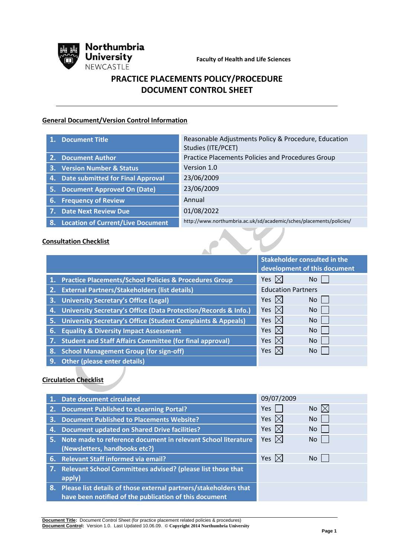

**Faculty of Health and Life Sciences**

# **PRACTICE PLACEMENTS POLICY/PROCEDURE DOCUMENT CONTROL SHEET**

#### **General Document/Version Control Information**

|    | 1. Document Title                        | Reasonable Adjustments Policy & Procedure, Education<br>Studies (ITE/PCET) |
|----|------------------------------------------|----------------------------------------------------------------------------|
|    | 2. Document Author                       | Practice Placements Policies and Procedures Group                          |
|    | 3. Version Number & Status               | Version 1.0                                                                |
|    | 4. Date submitted for Final Approval     | 23/06/2009                                                                 |
| 5. | <b>Document Approved On (Date)</b>       | 23/06/2009                                                                 |
|    | 6. Frequency of Review                   | Annual                                                                     |
|    | 7. Date Next Review Due                  | 01/08/2022                                                                 |
| 8. | <b>Location of Current/Live Document</b> | http://www.northumbria.ac.uk/sd/academic/sches/placements/policies/        |

#### **Consultation Checklist**

| 1. Practice Placements/School Policies & Procedures Group | Yes $\boxtimes$ | No. |
|-----------------------------------------------------------|-----------------|-----|
|-----------------------------------------------------------|-----------------|-----|

- **2. External Partners/Stakeholders (list details) External Partners**
- **3.** University Secretary's Office (Legal) **Yes**  $\boxtimes$  Yes  $\boxtimes$  No [
- **4.** University Secretary's Office (Data Protection/Records & Info.) Yes  $\boxtimes$  No
- **5.** University Secretary's Office (Student Complaints & Appeals) Pres  $\boxtimes$  No [
- **6. Equality & Diversity Impact Assessment The Contract Only 1.1 Yes No. 7 No. 1.1 Yes**
- **7.** Student and Staff Affairs Committee (for final approval)  $Y$ es  $\boxtimes$  No [
- **8.** School Management Group (for sign-off) **Yes**  $\boxtimes$  Yes  $\boxtimes$  No
- **9. Other (please enter details)**

#### **Circulation Checklist**

|    | 1. Date document circulated                                                                                                   | 09/07/2009     |                |
|----|-------------------------------------------------------------------------------------------------------------------------------|----------------|----------------|
|    | 2. Document Published to eLearning Portal?                                                                                    | Yes            | No $\boxtimes$ |
|    | 3. Document Published to Placements Website?                                                                                  | Yes $ \times $ | No.            |
| 4. | Document updated on Shared Drive facilities?                                                                                  | Yes $ \times $ | No             |
|    | 5. Note made to reference document in relevant School literature<br>(Newsletters, handbooks etc?)                             | Yes $ \times $ | No             |
|    | 6. Relevant Staff informed via email?                                                                                         | Yes $ \times $ | No             |
|    | 7. Relevant School Committees advised? (please list those that<br>apply)                                                      |                |                |
|    | 8. Please list details of those external partners/stakeholders that<br>have been notified of the publication of this document |                |                |

|                               | <b>Stakeholder consulted in the</b> |  |
|-------------------------------|-------------------------------------|--|
|                               | development of this document        |  |
|                               |                                     |  |
| $\overline{a}$ $\overline{b}$ |                                     |  |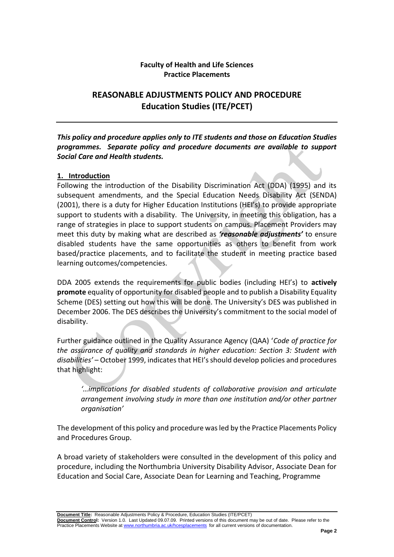## **Faculty of Health and Life Sciences Practice Placements**

# **REASONABLE ADJUSTMENTS POLICY AND PROCEDURE Education Studies (ITE/PCET)**

## *This policy and procedure applies only to ITE students and those on Education Studies programmes. Separate policy and procedure documents are available to support Social Care and Health students.*

# **1. Introduction**

Following the introduction of the Disability Discrimination Act (DDA) (1995) and its subsequent amendments, and the Special Education Needs Disability Act (SENDA) (2001), there is a duty for Higher Education Institutions (HEI's) to provide appropriate support to students with a disability. The University, in meeting this obligation, has a range of strategies in place to support students on campus. Placement Providers may meet this duty by making what are described as *'reasonable adjustments'* to ensure disabled students have the same opportunities as others to benefit from work based/practice placements, and to facilitate the student in meeting practice based learning outcomes/competencies.

DDA 2005 extends the requirements for public bodies (including HEI's) to **actively promote** equality of opportunity for disabled people and to publish a Disability Equality Scheme (DES) setting out how this will be done. The University's DES was published in December 2006. The DES describes the University's commitment to the social model of disability.

Further guidance outlined in the Quality Assurance Agency (QAA) '*Code of practice for the assurance of quality and standards in higher education: Section 3: Student with disabilities'* – October 1999, indicates that HEI's should develop policies and procedures that highlight:

*'…implications for disabled students of collaborative provision and articulate arrangement involving study in more than one institution and/or other partner organisation'*

The development of this policy and procedure was led by the Practice Placements Policy and Procedures Group.

A broad variety of stakeholders were consulted in the development of this policy and procedure, including the Northumbria University Disability Advisor, Associate Dean for Education and Social Care, Associate Dean for Learning and Teaching, Programme

**Document Title:** Reasonable Adjustments Policy & Procedure, Education Studies (ITE/PCET) **Document Control:** Version 1.0. Last Updated 09.07.09. Printed versions of this document may be out of date. Please refer to the Practice Placements Website a[t www.northumbria.ac.uk/hcesplacements](http://www.northumbria.ac.uk/hcesplacements) for all current versions of documentation.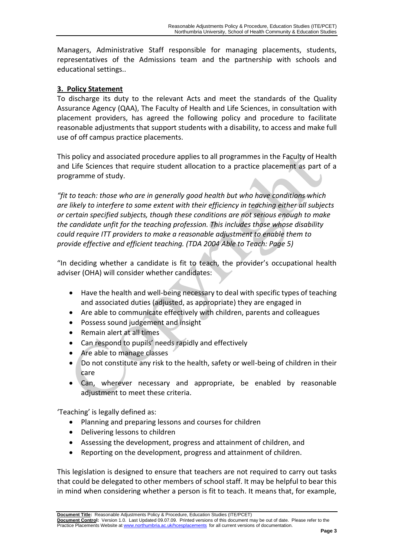Managers, Administrative Staff responsible for managing placements, students, representatives of the Admissions team and the partnership with schools and educational settings..

## **3. Policy Statement**

To discharge its duty to the relevant Acts and meet the standards of the Quality Assurance Agency (QAA), The Faculty of Health and Life Sciences, in consultation with placement providers, has agreed the following policy and procedure to facilitate reasonable adjustments that support students with a disability, to access and make full use of off campus practice placements.

This policy and associated procedure applies to all programmes in the Faculty of Health and Life Sciences that require student allocation to a practice placement as part of a programme of study.

*"fit to teach: those who are in generally good health but who have conditions which are likely to interfere to some extent with their efficiency in teaching either all subjects or certain specified subjects, though these conditions are not serious enough to make the candidate unfit for the teaching profession. This includes those whose disability could require ITT providers to make a reasonable adjustment to enable them to provide effective and efficient teaching. (TDA 2004 Able to Teach: Page 5)* 

"In deciding whether a candidate is fit to teach, the provider's occupational health adviser (OHA) will consider whether candidates:

- Have the health and well-being necessary to deal with specific types of teaching and associated duties (adjusted, as appropriate) they are engaged in
- Are able to communicate effectively with children, parents and colleagues
- Possess sound judgement and insight
- Remain alert at all times
- Can respond to pupils' needs rapidly and effectively
- Are able to manage classes
- Do not constitute any risk to the health, safety or well-being of children in their care
- Can, wherever necessary and appropriate, be enabled by reasonable adjustment to meet these criteria.

'Teaching' is legally defined as:

- Planning and preparing lessons and courses for children
- Delivering lessons to children
- Assessing the development, progress and attainment of children, and
- Reporting on the development, progress and attainment of children.

This legislation is designed to ensure that teachers are not required to carry out tasks that could be delegated to other members of school staff. It may be helpful to bear this in mind when considering whether a person is fit to teach. It means that, for example,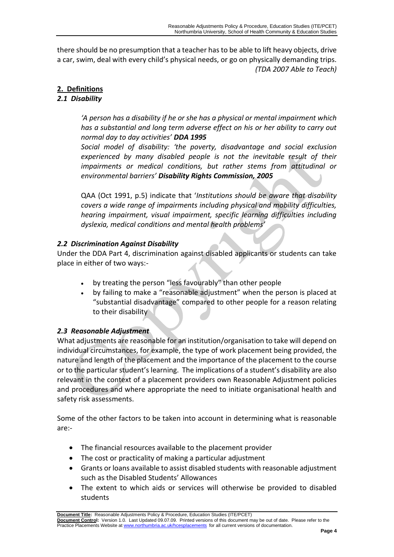there should be no presumption that a teacher has to be able to lift heavy objects, drive a car, swim, deal with every child's physical needs, or go on physically demanding trips. *(TDA 2007 Able to Teach)*

# **2. Definitions**

## *2.1 Disability*

*'A person has a disability if he or she has a physical or mental impairment which has a substantial and long term adverse effect on his or her ability to carry out normal day to day activities' DDA 1995*

*Social model of disability: 'the poverty, disadvantage and social exclusion experienced by many disabled people is not the inevitable result of their impairments or medical conditions, but rather stems from attitudinal or environmental barriers' Disability Rights Commission, 2005*

QAA (Oct 1991, p.5) indicate that '*Institutions should be aware that disability covers a wide range of impairments including physical and mobility difficulties, hearing impairment, visual impairment, specific learning difficulties including dyslexia, medical conditions and mental health problems'*

## *2.2 Discrimination Against Disability*

Under the DDA Part 4, discrimination against disabled applicants or students can take place in either of two ways:-

- by treating the person "less favourably" than other people
- by failing to make a "reasonable adjustment" when the person is placed at "substantial disadvantage" compared to other people for a reason relating to their disability

## *2.3 Reasonable Adjustment*

What adjustments are reasonable for an institution/organisation to take will depend on individual circumstances, for example, the type of work placement being provided, the nature and length of the placement and the importance of the placement to the course or to the particular student's learning. The implications of a student's disability are also relevant in the context of a placement providers own Reasonable Adjustment policies and procedures and where appropriate the need to initiate organisational health and safety risk assessments.

Some of the other factors to be taken into account in determining what is reasonable are:-

- The financial resources available to the placement provider
- The cost or practicality of making a particular adjustment
- Grants or loans available to assist disabled students with reasonable adjustment such as the Disabled Students' Allowances
- The extent to which aids or services will otherwise be provided to disabled students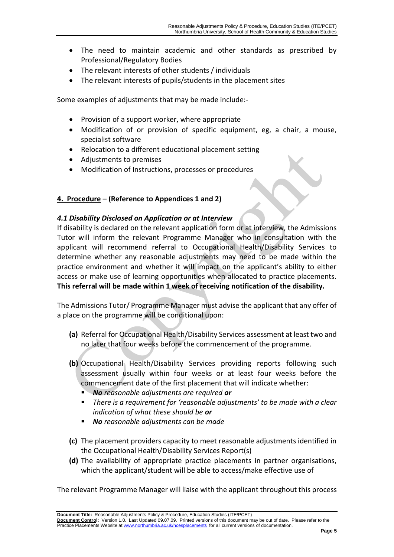- The need to maintain academic and other standards as prescribed by Professional/Regulatory Bodies
- The relevant interests of other students / individuals
- The relevant interests of pupils/students in the placement sites

Some examples of adjustments that may be made include:-

- Provision of a support worker, where appropriate
- Modification of or provision of specific equipment, eg, a chair, a mouse, specialist software
- Relocation to a different educational placement setting
- Adjustments to premises
- Modification of Instructions, processes or procedures

## **4. Procedure – (Reference to Appendices 1 and 2)**

#### *4.1 Disability Disclosed on Application or at Interview*

If disability is declared on the relevant application form or at interview, the Admissions Tutor will inform the relevant Programme Manager who in consultation with the applicant will recommend referral to Occupational Health/Disability Services to determine whether any reasonable adjustments may need to be made within the practice environment and whether it will impact on the applicant's ability to either access or make use of learning opportunities when allocated to practice placements. **This referral will be made within 1 week of receiving notification of the disability.**

The Admissions Tutor/ Programme Manager must advise the applicant that any offer of a place on the programme will be conditional upon:

- **(a)** Referral for Occupational Health/Disability Services assessment at least two and no later that four weeks before the commencement of the programme.
- **(b)** Occupational Health/Disability Services providing reports following such assessment usually within four weeks or at least four weeks before the commencement date of the first placement that will indicate whether:
	- *No reasonable adjustments are required or*
	- There is a requirement for 'reasonable adjustments' to be made with a clear *indication of what these should be or*
	- **No** reasonable adjustments can be made
- **(c)** The placement providers capacity to meet reasonable adjustments identified in the Occupational Health/Disability Services Report(s)
- **(d)** The availability of appropriate practice placements in partner organisations, which the applicant/student will be able to access/make effective use of

The relevant Programme Manager will liaise with the applicant throughout this process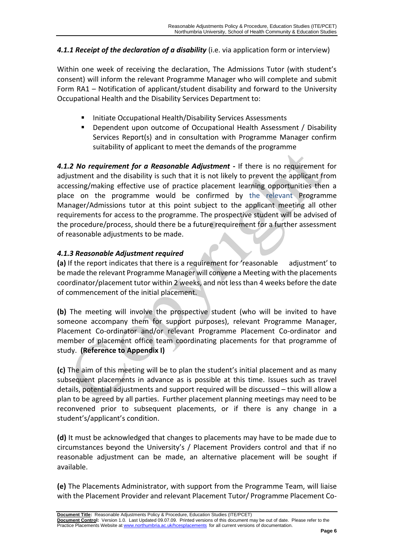## *4.1.1 Receipt of the declaration of a disability* (i.e. via application form or interview)

Within one week of receiving the declaration, The Admissions Tutor (with student's consent) will inform the relevant Programme Manager who will complete and submit Form RA1 – Notification of applicant/student disability and forward to the University Occupational Health and the Disability Services Department to:

- Initiate Occupational Health/Disability Services Assessments
- Dependent upon outcome of Occupational Health Assessment / Disability Services Report(s) and in consultation with Programme Manager confirm suitability of applicant to meet the demands of the programme

*4.1.2 No requirement for a Reasonable Adjustment* **-** If there is no requirement for adjustment and the disability is such that it is not likely to prevent the applicant from accessing/making effective use of practice placement learning opportunities then a place on the programme would be confirmed by the relevant Programme Manager/Admissions tutor at this point subject to the applicant meeting all other requirements for access to the programme. The prospective student will be advised of the procedure/process, should there be a future requirement for a further assessment of reasonable adjustments to be made.

#### *4.1.3 Reasonable Adjustment required*

**(a)** If the report indicates that there is a requirement for 'reasonable adjustment' to be made the relevant Programme Manager will convene a Meeting with the placements coordinator/placement tutor within 2 weeks, and not less than 4 weeks before the date of commencement of the initial placement.

**(b)** The meeting will involve the prospective student (who will be invited to have someone accompany them for support purposes), relevant Programme Manager, Placement Co-ordinator and/or relevant Programme Placement Co-ordinator and member of placement office team coordinating placements for that programme of study. **(Reference to Appendix I)**

**(c)** The aim of this meeting will be to plan the student's initial placement and as many subsequent placements in advance as is possible at this time. Issues such as travel details, potential adjustments and support required will be discussed – this will allow a plan to be agreed by all parties. Further placement planning meetings may need to be reconvened prior to subsequent placements, or if there is any change in a student's/applicant's condition.

**(d)** It must be acknowledged that changes to placements may have to be made due to circumstances beyond the University's / Placement Providers control and that if no reasonable adjustment can be made, an alternative placement will be sought if available.

**(e)** The Placements Administrator, with support from the Programme Team, will liaise with the Placement Provider and relevant Placement Tutor/ Programme Placement Co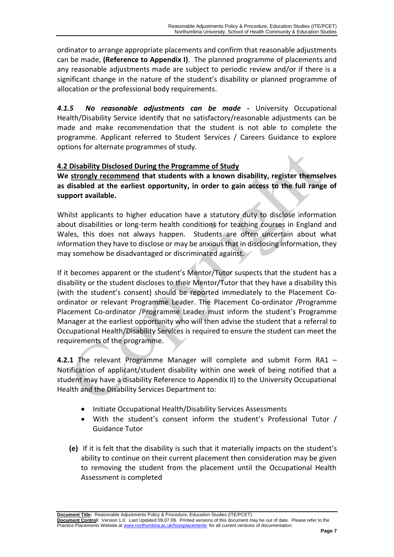ordinator to arrange appropriate placements and confirm that reasonable adjustments can be made, **(Reference to Appendix I)**. The planned programme of placements and any reasonable adjustments made are subject to periodic review and/or if there is a significant change in the nature of the student's disability or planned programme of allocation or the professional body requirements.

*4.1.5 No reasonable adjustments can be made -* University Occupational Health/Disability Service identify that no satisfactory/reasonable adjustments can be made and make recommendation that the student is not able to complete the programme. Applicant referred to Student Services / Careers Guidance to explore options for alternate programmes of study.

# **4.2 Disability Disclosed During the Programme of Study**

**We strongly recommend that students with a known disability, register themselves as disabled at the earliest opportunity, in order to gain access to the full range of support available.** 

Whilst applicants to higher education have a statutory duty to disclose information about disabilities or long-term health conditions for teaching courses in England and Wales, this does not always happen. Students are often uncertain about what information they have to disclose or may be anxious that in disclosing information, they may somehow be disadvantaged or discriminated against.

If it becomes apparent or the student's Mentor/Tutor suspects that the student has a disability or the student discloses to their Mentor/Tutor that they have a disability this (with the student's consent) should be reported immediately to the Placement Coordinator or relevant Programme Leader. The Placement Co-ordinator /Programme Placement Co-ordinator /Programme Leader must inform the student's Programme Manager at the earliest opportunity who will then advise the student that a referral to Occupational Health/Disability Services is required to ensure the student can meet the requirements of the programme.

**4.2.1** The relevant Programme Manager will complete and submit Form RA1 – Notification of applicant/student disability within one week of being notified that a student may have a disability Reference to Appendix II) to the University Occupational Health and the Disability Services Department to:

- Initiate Occupational Health/Disability Services Assessments
- With the student's consent inform the student's Professional Tutor / Guidance Tutor
- **(e)** If it is felt that the disability is such that it materially impacts on the student's ability to continue on their current placement then consideration may be given to removing the student from the placement until the Occupational Health Assessment is completed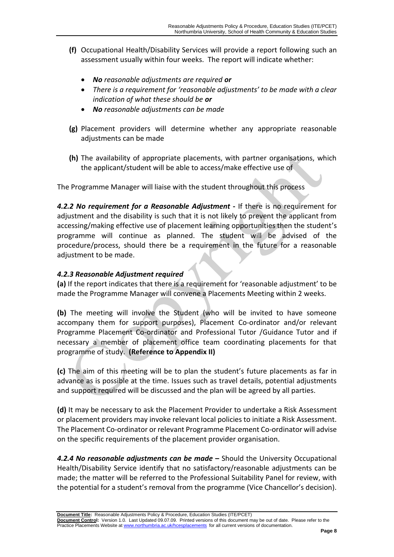- **(f)** Occupational Health/Disability Services will provide a report following such an assessment usually within four weeks. The report will indicate whether:
	- *No reasonable adjustments are required or*
	- *There is a requirement for 'reasonable adjustments' to be made with a clear indication of what these should be or*
	- *No reasonable adjustments can be made*
- **(g)** Placement providers will determine whether any appropriate reasonable adjustments can be made
- **(h)** The availability of appropriate placements, with partner organisations, which the applicant/student will be able to access/make effective use of

The Programme Manager will liaise with the student throughout this process

*4.2.2 No requirement for a Reasonable Adjustment* **-** If there is no requirement for adjustment and the disability is such that it is not likely to prevent the applicant from accessing/making effective use of placement learning opportunities then the student's programme will continue as planned. The student will be advised of the procedure/process, should there be a requirement in the future for a reasonable adjustment to be made.

## *4.2.3 Reasonable Adjustment required*

**(a)** If the report indicates that there is a requirement for 'reasonable adjustment' to be made the Programme Manager will convene a Placements Meeting within 2 weeks.

**(b)** The meeting will involve the Student (who will be invited to have someone accompany them for support purposes), Placement Co-ordinator and/or relevant Programme Placement Co-ordinator and Professional Tutor /Guidance Tutor and if necessary a member of placement office team coordinating placements for that programme of study. **(Reference to Appendix II)**

**(c)** The aim of this meeting will be to plan the student's future placements as far in advance as is possible at the time. Issues such as travel details, potential adjustments and support required will be discussed and the plan will be agreed by all parties.

**(d)** It may be necessary to ask the Placement Provider to undertake a Risk Assessment or placement providers may invoke relevant local policies to initiate a Risk Assessment. The Placement Co-ordinator or relevant Programme Placement Co-ordinator will advise on the specific requirements of the placement provider organisation.

*4.2.4 No reasonable adjustments can be made* **–** Should the University Occupational Health/Disability Service identify that no satisfactory/reasonable adjustments can be made; the matter will be referred to the Professional Suitability Panel for review, with the potential for a student's removal from the programme (Vice Chancellor's decision).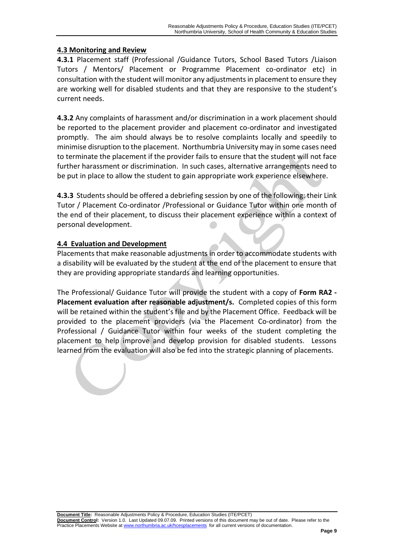## **4.3 Monitoring and Review**

**4.3.1** Placement staff (Professional /Guidance Tutors, School Based Tutors /Liaison Tutors / Mentors/ Placement or Programme Placement co-ordinator etc) in consultation with the student will monitor any adjustments in placement to ensure they are working well for disabled students and that they are responsive to the student's current needs.

**4.3.2** Any complaints of harassment and/or discrimination in a work placement should be reported to the placement provider and placement co-ordinator and investigated promptly. The aim should always be to resolve complaints locally and speedily to minimise disruption to the placement. Northumbria University may in some cases need to terminate the placement if the provider fails to ensure that the student will not face further harassment or discrimination. In such cases, alternative arrangements need to be put in place to allow the student to gain appropriate work experience elsewhere.

**4.3.3** Students should be offered a debriefing session by one of the following: their Link Tutor / Placement Co-ordinator /Professional or Guidance Tutor within one month of the end of their placement, to discuss their placement experience within a context of personal development.

## **4.4 Evaluation and Development**

Placements that make reasonable adjustments in order to accommodate students with a disability will be evaluated by the student at the end of the placement to ensure that they are providing appropriate standards and learning opportunities.

The Professional/ Guidance Tutor will provide the student with a copy of **Form RA2 - Placement evaluation after reasonable adjustment/s.** Completed copies of this form will be retained within the student's file and by the Placement Office. Feedback will be provided to the placement providers (via the Placement Co-ordinator) from the Professional / Guidance Tutor within four weeks of the student completing the placement to help improve and develop provision for disabled students. Lessons learned from the evaluation will also be fed into the strategic planning of placements.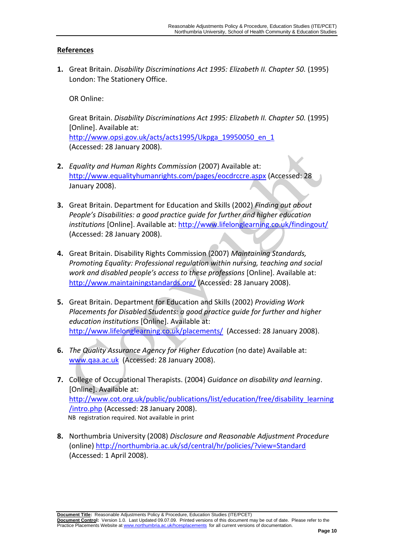#### **References**

**1.** Great Britain. *Disability Discriminations Act 1995: Elizabeth II. Chapter 50.* (1995) London: The Stationery Office.

OR Online:

Great Britain. *Disability Discriminations Act 1995: Elizabeth II. Chapter 50.* (1995) [Online]. Available at: [http://www.opsi.gov.uk/acts/acts1995/Ukpga\\_19950050\\_en\\_1](http://www.opsi.gov.uk/acts/acts1995/Ukpga_19950050_en_1) (Accessed: 28 January 2008).

- **2.** *Equality and Human Rights Commission* (2007) Available at: <http://www.equalityhumanrights.com/pages/eocdrccre.aspx> (Accessed: 28 January 2008).
- **3.** Great Britain. Department for Education and Skills (2002) *Finding out about People's Disabilities: a good practice guide for further and higher education institutions* [Online]. Available at:<http://www.lifelonglearning.co.uk/findingout/> (Accessed: 28 January 2008).
- **4.** Great Britain. Disability Rights Commission (2007) *Maintaining Standards, Promoting Equality: Professional regulation within nursing, teaching and social work and disabled people's access to these professions* [Online]. Available at: <http://www.maintainingstandards.org/> (Accessed: 28 January 2008).
- **5.** Great Britain. Department for Education and Skills (2002) *Providing Work Placements for Disabled Students: a good practice guide for further and higher education institutions* [Online]. Available at: <http://www.lifelonglearning.co.uk/placements/>(Accessed: 28 January 2008).
- **6.** *The Quality Assurance Agency for Higher Education* (no date) Available at: [www.qaa.ac.uk](http://www.qaa.ac.uk/) (Accessed: 28 January 2008).
- **7.** College of Occupational Therapists. (2004) *Guidance on disability and learning*. [Online]. Available at: [http://www.cot.org.uk/public/publications/list/education/free/disability\\_learning](http://www.cot.org.uk/public/publications/list/education/free/disability_learning/intro.php) [/intro.php](http://www.cot.org.uk/public/publications/list/education/free/disability_learning/intro.php) (Accessed: 28 January 2008). NB registration required. Not available in print
- **8.** Northumbria University (2008) *Disclosure and Reasonable Adjustment Procedure* (online)<http://northumbria.ac.uk/sd/central/hr/policies/?view=Standard> (Accessed: 1 April 2008).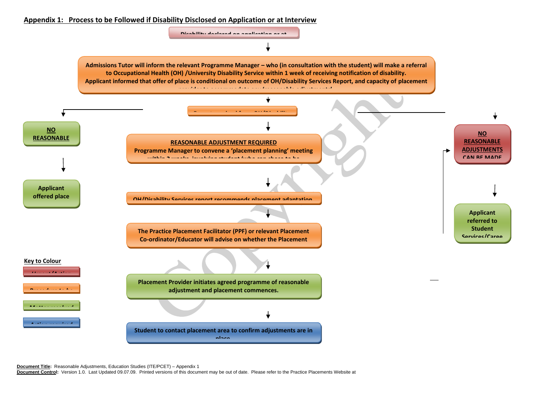